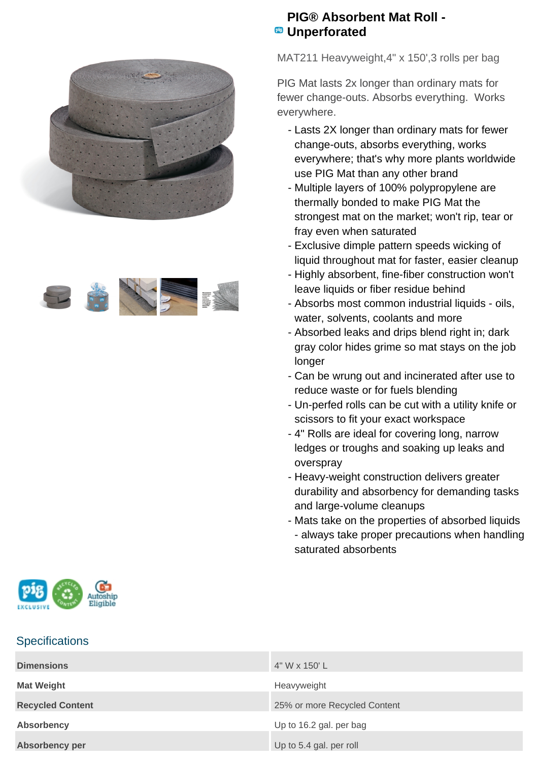



## **PIG® Absorbent Mat Roll - Unperforated**

MAT211 Heavyweight,4" x 150',3 rolls per bag

PIG Mat lasts 2x longer than ordinary mats for fewer change-outs. Absorbs everything. Works everywhere.

- Lasts 2X longer than ordinary mats for fewer change-outs, absorbs everything, works everywhere; that's why more plants worldwide use PIG Mat than any other brand
- Multiple layers of 100% polypropylene are thermally bonded to make PIG Mat the strongest mat on the market; won't rip, tear or fray even when saturated
- Exclusive dimple pattern speeds wicking of liquid throughout mat for faster, easier cleanup
- Highly absorbent, fine-fiber construction won't leave liquids or fiber residue behind
- Absorbs most common industrial liquids oils, water, solvents, coolants and more
- Absorbed leaks and drips blend right in; dark gray color hides grime so mat stays on the job longer
- Can be wrung out and incinerated after use to reduce waste or for fuels blending
- Un-perfed rolls can be cut with a utility knife or scissors to fit your exact workspace
- 4" Rolls are ideal for covering long, narrow ledges or troughs and soaking up leaks and overspray
- Heavy-weight construction delivers greater durability and absorbency for demanding tasks and large-volume cleanups
- Mats take on the properties of absorbed liquids - always take proper precautions when handling saturated absorbents

| ligih<br>EXCLUSIVE |  |  |  |
|--------------------|--|--|--|
|--------------------|--|--|--|

## **Specifications**

| <b>Dimensions</b>       | 4" W x 150' L                |
|-------------------------|------------------------------|
| <b>Mat Weight</b>       | Heavyweight                  |
| <b>Recycled Content</b> | 25% or more Recycled Content |
| <b>Absorbency</b>       | Up to 16.2 gal. per bag      |
| Absorbency per          | Up to 5.4 gal. per roll      |